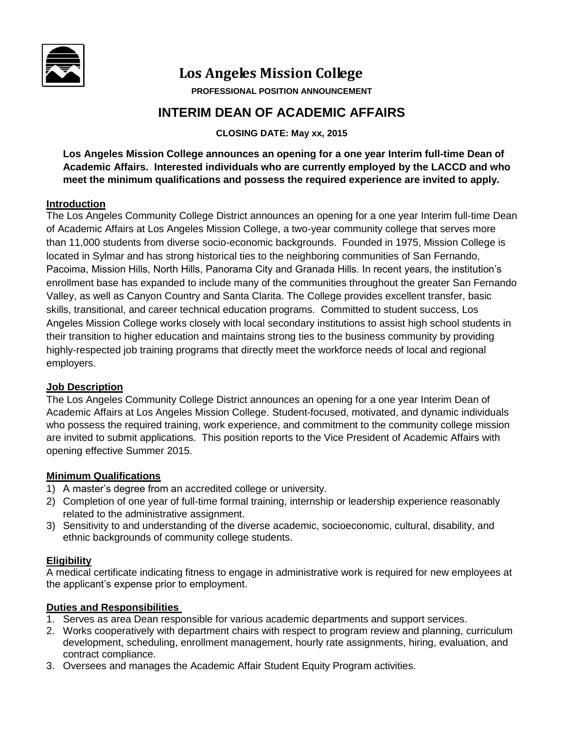

# **Los An Los Angeles Mission College**

**PROFESSIONAL POSITION ANNOUNCEMENT** 

## **INTERIM DEAN OF ACADEMIC AFFAIRS**

**CLOSING DATE: May xx, 2015**

**Los Angeles Mission College announces an opening for a one year Interim full-time Dean of Academic Affairs. Interested individuals who are currently employed by the LACCD and who meet the minimum qualifications and possess the required experience are invited to apply.** 

#### **Introduction**

The Los Angeles Community College District announces an opening for a one year Interim full-time Dean of Academic Affairs at Los Angeles Mission College, a two-year community college that serves more than 11,000 students from diverse socio-economic backgrounds. Founded in 1975, Mission College is located in Sylmar and has strong historical ties to the neighboring communities of San Fernando, Pacoima, Mission Hills, North Hills, Panorama City and Granada Hills. In recent years, the institution's enrollment base has expanded to include many of the communities throughout the greater San Fernando Valley, as well as Canyon Country and Santa Clarita. The College provides excellent transfer, basic skills, transitional, and career technical education programs. Committed to student success, Los Angeles Mission College works closely with local secondary institutions to assist high school students in their transition to higher education and maintains strong ties to the business community by providing highly-respected job training programs that directly meet the workforce needs of local and regional employers.

### **Job Description**

The Los Angeles Community College District announces an opening for a one year Interim Dean of Academic Affairs at Los Angeles Mission College. Student-focused, motivated, and dynamic individuals who possess the required training, work experience, and commitment to the community college mission are invited to submit applications. This position reports to the Vice President of Academic Affairs with opening effective Summer 2015.

### **Minimum Qualifications**

- 1) A master's degree from an accredited college or university.
- 2) Completion of one year of full-time formal training, internship or leadership experience reasonably related to the administrative assignment.
- 3) Sensitivity to and understanding of the diverse academic, socioeconomic, cultural, disability, and ethnic backgrounds of community college students.

### **Eligibility**

A medical certificate indicating fitness to engage in administrative work is required for new employees at the applicant's expense prior to employment.

### **Duties and Responsibilities**

- 1. Serves as area Dean responsible for various academic departments and support services.
- 2. Works cooperatively with department chairs with respect to program review and planning, curriculum development, scheduling, enrollment management, hourly rate assignments, hiring, evaluation, and contract compliance.
- 3. Oversees and manages the Academic Affair Student Equity Program activities.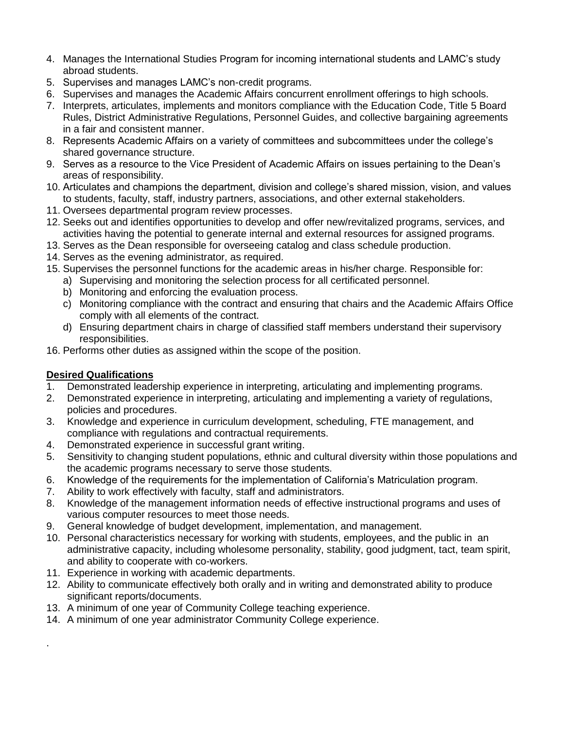- 4. Manages the International Studies Program for incoming international students and LAMC's study abroad students.
- 5. Supervises and manages LAMC's non-credit programs.
- 6. Supervises and manages the Academic Affairs concurrent enrollment offerings to high schools.
- 7. Interprets, articulates, implements and monitors compliance with the Education Code, Title 5 Board Rules, District Administrative Regulations, Personnel Guides, and collective bargaining agreements in a fair and consistent manner.
- 8. Represents Academic Affairs on a variety of committees and subcommittees under the college's shared governance structure.
- 9. Serves as a resource to the Vice President of Academic Affairs on issues pertaining to the Dean's areas of responsibility.
- 10. Articulates and champions the department, division and college's shared mission, vision, and values to students, faculty, staff, industry partners, associations, and other external stakeholders.
- 11. Oversees departmental program review processes.
- 12. Seeks out and identifies opportunities to develop and offer new/revitalized programs, services, and activities having the potential to generate internal and external resources for assigned programs.
- 13. Serves as the Dean responsible for overseeing catalog and class schedule production.
- 14. Serves as the evening administrator, as required.
- 15. Supervises the personnel functions for the academic areas in his/her charge. Responsible for:
	- a) Supervising and monitoring the selection process for all certificated personnel.
	- b) Monitoring and enforcing the evaluation process.
	- c) Monitoring compliance with the contract and ensuring that chairs and the Academic Affairs Office comply with all elements of the contract.
	- d) Ensuring department chairs in charge of classified staff members understand their supervisory responsibilities.
- 16. Performs other duties as assigned within the scope of the position.

### **Desired Qualifications**

.

- 1. Demonstrated leadership experience in interpreting, articulating and implementing programs.
- 2. Demonstrated experience in interpreting, articulating and implementing a variety of regulations, policies and procedures.
- 3. Knowledge and experience in curriculum development, scheduling, FTE management, and compliance with regulations and contractual requirements.
- 4. Demonstrated experience in successful grant writing.
- 5. Sensitivity to changing student populations, ethnic and cultural diversity within those populations and the academic programs necessary to serve those students.
- 6. Knowledge of the requirements for the implementation of California's Matriculation program.
- 7. Ability to work effectively with faculty, staff and administrators.
- 8. Knowledge of the management information needs of effective instructional programs and uses of various computer resources to meet those needs.
- 9. General knowledge of budget development, implementation, and management.
- 10. Personal characteristics necessary for working with students, employees, and the public in an administrative capacity, including wholesome personality, stability, good judgment, tact, team spirit, and ability to cooperate with co-workers.
- 11. Experience in working with academic departments.
- 12. Ability to communicate effectively both orally and in writing and demonstrated ability to produce significant reports/documents.
- 13. A minimum of one year of Community College teaching experience.
- 14. A minimum of one year administrator Community College experience.